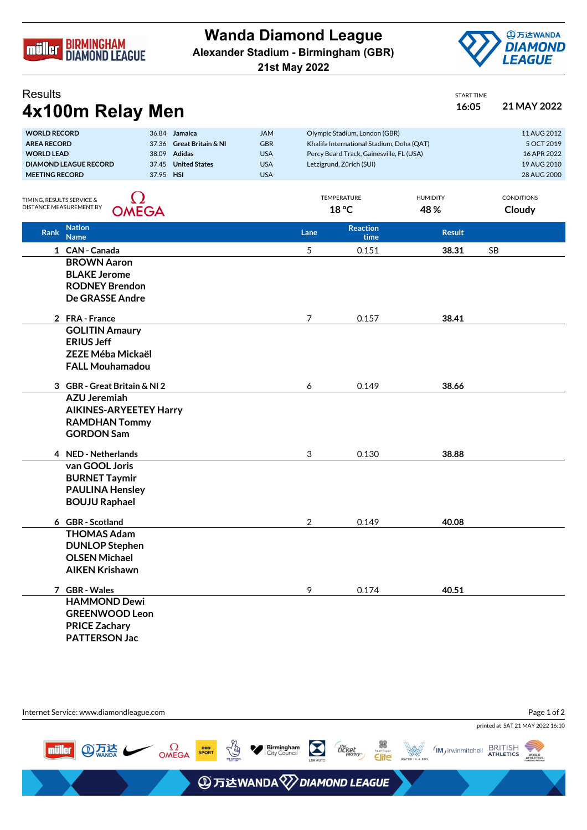

**Wanda Diamond League Alexander Stadium - Birmingham (GBR)**





START TIME

**Results** 

| 4x100m Relay Men                                                                                                                                                                                                                   |  |                                                                    |                      |                                                                                                                                                    | 16:05                  | 21 MAY 2022                                                            |  |
|------------------------------------------------------------------------------------------------------------------------------------------------------------------------------------------------------------------------------------|--|--------------------------------------------------------------------|----------------------|----------------------------------------------------------------------------------------------------------------------------------------------------|------------------------|------------------------------------------------------------------------|--|
| <b>WORLD RECORD</b><br>36.84 Jamaica<br><b>AREA RECORD</b><br>37.36 Great Britain & NI<br><b>WORLD LEAD</b><br>38.09 Adidas<br><b>DIAMOND LEAGUE RECORD</b><br>37.45<br><b>United States</b><br><b>MEETING RECORD</b><br>37.95 HSI |  | <b>JAM</b><br><b>GBR</b><br><b>USA</b><br><b>USA</b><br><b>USA</b> |                      | Olympic Stadium, London (GBR)<br>Khalifa International Stadium, Doha (QAT)<br>Percy Beard Track, Gainesville, FL (USA)<br>Letzigrund, Zürich (SUI) |                        | 11 AUG 2012<br>5 OCT 2019<br>16 APR 2022<br>19 AUG 2010<br>28 AUG 2000 |  |
| <u>()</u><br>TIMING, RESULTS SERVICE &<br>DISTANCE MEASUREMENT BY<br><b>OMEGA</b>                                                                                                                                                  |  |                                                                    | TEMPERATURE<br>18 °C |                                                                                                                                                    | <b>HUMIDITY</b><br>48% | <b>CONDITIONS</b><br>Cloudy                                            |  |
| <b>Nation</b><br><b>Rank</b><br><b>Name</b>                                                                                                                                                                                        |  |                                                                    | Lane                 | <b>Reaction</b><br>time                                                                                                                            | <b>Result</b>          |                                                                        |  |
| 1 CAN - Canada                                                                                                                                                                                                                     |  |                                                                    | 5                    | 0.151                                                                                                                                              | 38.31                  | <b>SB</b>                                                              |  |
| <b>BROWN Aaron</b><br><b>BLAKE Jerome</b><br><b>RODNEY Brendon</b><br><b>De GRASSE Andre</b>                                                                                                                                       |  |                                                                    |                      |                                                                                                                                                    |                        |                                                                        |  |
| 2 FRA-France                                                                                                                                                                                                                       |  |                                                                    | 7                    | 0.157                                                                                                                                              | 38.41                  |                                                                        |  |
| <b>GOLITIN Amaury</b><br><b>ERIUS Jeff</b><br><b>ZEZE Méba Mickaël</b><br><b>FALL Mouhamadou</b>                                                                                                                                   |  |                                                                    |                      |                                                                                                                                                    |                        |                                                                        |  |
| 3 GBR - Great Britain & NI 2                                                                                                                                                                                                       |  |                                                                    | 6                    | 0.149                                                                                                                                              | 38.66                  |                                                                        |  |
| <b>AZU Jeremiah</b><br><b>AIKINES-ARYEETEY Harry</b><br><b>RAMDHAN Tommy</b><br><b>GORDON Sam</b>                                                                                                                                  |  |                                                                    |                      |                                                                                                                                                    |                        |                                                                        |  |
| 4 NED - Netherlands                                                                                                                                                                                                                |  |                                                                    | 3                    | 0.130                                                                                                                                              | 38.88                  |                                                                        |  |
| van GOOL Joris<br><b>BURNET Taymir</b><br><b>PAULINA Hensley</b><br><b>BOUJU Raphael</b>                                                                                                                                           |  |                                                                    |                      |                                                                                                                                                    |                        |                                                                        |  |
| 6 GBR - Scotland                                                                                                                                                                                                                   |  |                                                                    | 2                    | 0.149                                                                                                                                              | 40.08                  |                                                                        |  |
| <b>THOMAS Adam</b><br><b>DUNLOP Stephen</b><br><b>OLSEN Michael</b><br><b>AIKEN Krishawn</b>                                                                                                                                       |  |                                                                    |                      |                                                                                                                                                    |                        |                                                                        |  |
| 7 GBR - Wales                                                                                                                                                                                                                      |  |                                                                    | 9                    | 0.174                                                                                                                                              | 40.51                  |                                                                        |  |
| <b>HAMMOND Dewi</b><br><b>GREENWOOD Leon</b><br><b>PRICE Zachary</b><br><b>PATTERSON Jac</b>                                                                                                                                       |  |                                                                    |                      |                                                                                                                                                    |                        |                                                                        |  |